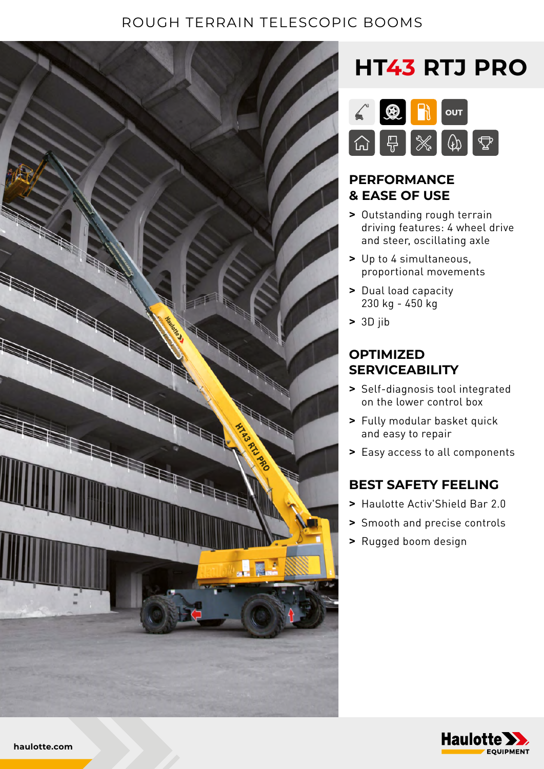### ROUGH TERRAIN TELESCOPIC BOOMS



# **HT43 RTJ PRO**



#### **PERFORMANCE & EASE OF USE**

- **>** Outstanding rough terrain driving features: 4 wheel drive and steer, oscillating axle
- **>** Up to 4 simultaneous, proportional movements
- **>** Dual load capacity 230 kg - 450 kg
- **>** 3D jib

### **OPTIMIZED SERVICEABILITY**

- **>** Self-diagnosis tool integrated on the lower control box
- **>** Fully modular basket quick and easy to repair
- **>** Easy access to all components

### **BEST SAFETY FEELING**

- **>** Haulotte Activ'Shield Bar 2.0
- **>** Smooth and precise controls
- **>** Rugged boom design